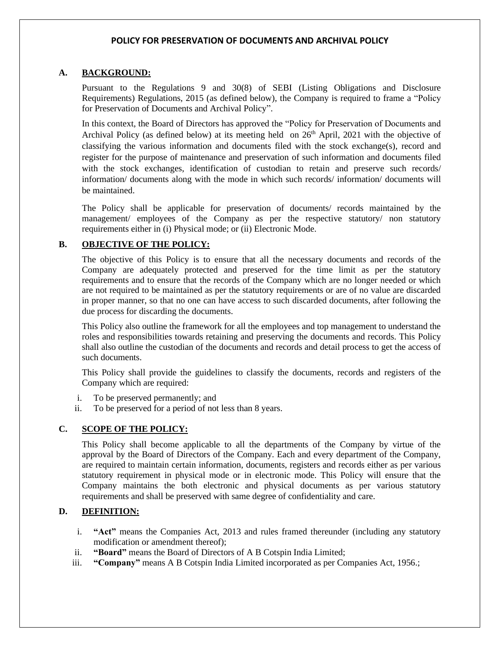#### **A. BACKGROUND:**

Pursuant to the Regulations 9 and 30(8) of SEBI (Listing Obligations and Disclosure Requirements) Regulations, 2015 (as defined below), the Company is required to frame a "Policy for Preservation of Documents and Archival Policy".

In this context, the Board of Directors has approved the "Policy for Preservation of Documents and Archival Policy (as defined below) at its meeting held on 26<sup>th</sup> April, 2021 with the objective of classifying the various information and documents filed with the stock exchange(s), record and register for the purpose of maintenance and preservation of such information and documents filed with the stock exchanges, identification of custodian to retain and preserve such records/ information/ documents along with the mode in which such records/ information/ documents will be maintained.

The Policy shall be applicable for preservation of documents/ records maintained by the management/ employees of the Company as per the respective statutory/ non statutory requirements either in (i) Physical mode; or (ii) Electronic Mode.

#### **B. OBJECTIVE OF THE POLICY:**

The objective of this Policy is to ensure that all the necessary documents and records of the Company are adequately protected and preserved for the time limit as per the statutory requirements and to ensure that the records of the Company which are no longer needed or which are not required to be maintained as per the statutory requirements or are of no value are discarded in proper manner, so that no one can have access to such discarded documents, after following the due process for discarding the documents.

This Policy also outline the framework for all the employees and top management to understand the roles and responsibilities towards retaining and preserving the documents and records. This Policy shall also outline the custodian of the documents and records and detail process to get the access of such documents.

This Policy shall provide the guidelines to classify the documents, records and registers of the Company which are required:

- i. To be preserved permanently; and
- ii. To be preserved for a period of not less than 8 years.

## **C. SCOPE OF THE POLICY:**

This Policy shall become applicable to all the departments of the Company by virtue of the approval by the Board of Directors of the Company. Each and every department of the Company, are required to maintain certain information, documents, registers and records either as per various statutory requirement in physical mode or in electronic mode. This Policy will ensure that the Company maintains the both electronic and physical documents as per various statutory requirements and shall be preserved with same degree of confidentiality and care.

## **D. DEFINITION:**

- i. **"Act"** means the Companies Act, 2013 and rules framed thereunder (including any statutory modification or amendment thereof);
- ii. **"Board"** means the Board of Directors of A B Cotspin India Limited;
- iii. **"Company"** means A B Cotspin India Limited incorporated as per Companies Act, 1956.;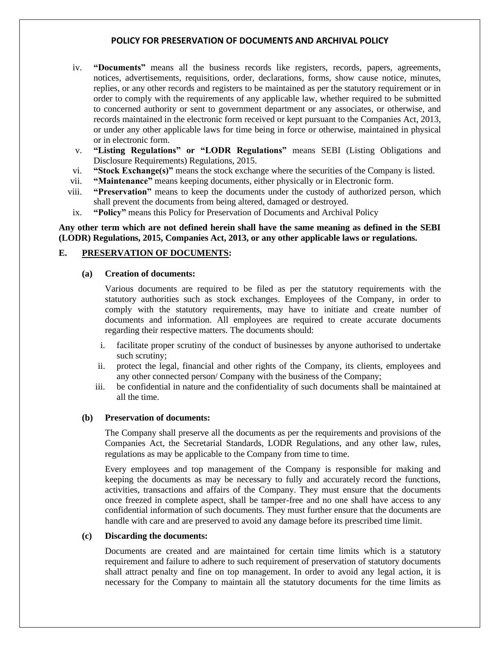- iv. **"Documents"** means all the business records like registers, records, papers, agreements, notices, advertisements, requisitions, order, declarations, forms, show cause notice, minutes, replies, or any other records and registers to be maintained as per the statutory requirement or in order to comply with the requirements of any applicable law, whether required to be submitted to concerned authority or sent to government department or any associates, or otherwise, and records maintained in the electronic form received or kept pursuant to the Companies Act, 2013, or under any other applicable laws for time being in force or otherwise, maintained in physical or in electronic form.
- v. **"Listing Regulations" or "LODR Regulations"** means SEBI (Listing Obligations and Disclosure Requirements) Regulations, 2015.
- vi. **"Stock Exchange(s)"** means the stock exchange where the securities of the Company is listed.
- vii. **"Maintenance"** means keeping documents, either physically or in Electronic form.
- viii. **"Preservation"** means to keep the documents under the custody of authorized person, which shall prevent the documents from being altered, damaged or destroyed.
- ix. **"Policy"** means this Policy for Preservation of Documents and Archival Policy

## **Any other term which are not defined herein shall have the same meaning as defined in the SEBI (LODR) Regulations, 2015, Companies Act, 2013, or any other applicable laws or regulations.**

#### **E. PRESERVATION OF DOCUMENTS:**

#### **(a) Creation of documents:**

Various documents are required to be filed as per the statutory requirements with the statutory authorities such as stock exchanges. Employees of the Company, in order to comply with the statutory requirements, may have to initiate and create number of documents and information. All employees are required to create accurate documents regarding their respective matters. The documents should:

- i. facilitate proper scrutiny of the conduct of businesses by anyone authorised to undertake such scrutiny;
- ii. protect the legal, financial and other rights of the Company, its clients, employees and any other connected person/ Company with the business of the Company;
- iii. be confidential in nature and the confidentiality of such documents shall be maintained at all the time.

#### **(b) Preservation of documents:**

The Company shall preserve all the documents as per the requirements and provisions of the Companies Act, the Secretarial Standards, LODR Regulations, and any other law, rules, regulations as may be applicable to the Company from time to time.

Every employees and top management of the Company is responsible for making and keeping the documents as may be necessary to fully and accurately record the functions, activities, transactions and affairs of the Company. They must ensure that the documents once freezed in complete aspect, shall be tamper-free and no one shall have access to any confidential information of such documents. They must further ensure that the documents are handle with care and are preserved to avoid any damage before its prescribed time limit.

#### **(c) Discarding the documents:**

Documents are created and are maintained for certain time limits which is a statutory requirement and failure to adhere to such requirement of preservation of statutory documents shall attract penalty and fine on top management. In order to avoid any legal action, it is necessary for the Company to maintain all the statutory documents for the time limits as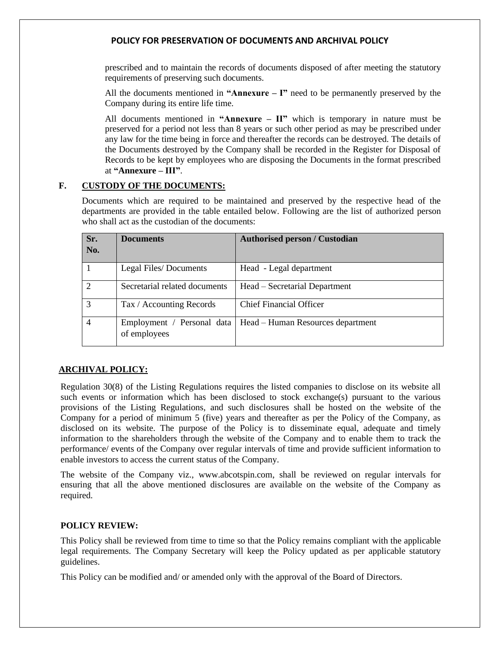prescribed and to maintain the records of documents disposed of after meeting the statutory requirements of preserving such documents.

All the documents mentioned in **"Annexure – I"** need to be permanently preserved by the Company during its entire life time.

All documents mentioned in **"Annexure – II"** which is temporary in nature must be preserved for a period not less than 8 years or such other period as may be prescribed under any law for the time being in force and thereafter the records can be destroyed. The details of the Documents destroyed by the Company shall be recorded in the Register for Disposal of Records to be kept by employees who are disposing the Documents in the format prescribed at **"Annexure – III"**.

## **F. CUSTODY OF THE DOCUMENTS:**

Documents which are required to be maintained and preserved by the respective head of the departments are provided in the table entailed below. Following are the list of authorized person who shall act as the custodian of the documents:

| Sr.<br>No.    | <b>Documents</b>              | <b>Authorised person / Custodian</b>                           |  |
|---------------|-------------------------------|----------------------------------------------------------------|--|
|               | Legal Files/Documents         | Head - Legal department                                        |  |
| $\mathcal{D}$ | Secretarial related documents | Head – Secretarial Department                                  |  |
| 3             | Tax / Accounting Records      | <b>Chief Financial Officer</b>                                 |  |
| 4             | of employees                  | Employment / Personal data   Head – Human Resources department |  |

## **ARCHIVAL POLICY:**

Regulation 30(8) of the Listing Regulations requires the listed companies to disclose on its website all such events or information which has been disclosed to stock exchange(s) pursuant to the various provisions of the Listing Regulations, and such disclosures shall be hosted on the website of the Company for a period of minimum 5 (five) years and thereafter as per the Policy of the Company, as disclosed on its website. The purpose of the Policy is to disseminate equal, adequate and timely information to the shareholders through the website of the Company and to enable them to track the performance/ events of the Company over regular intervals of time and provide sufficient information to enable investors to access the current status of the Company.

The website of the Company viz., www.abcotspin.com, shall be reviewed on regular intervals for ensuring that all the above mentioned disclosures are available on the website of the Company as required.

# **POLICY REVIEW:**

This Policy shall be reviewed from time to time so that the Policy remains compliant with the applicable legal requirements. The Company Secretary will keep the Policy updated as per applicable statutory guidelines.

This Policy can be modified and/ or amended only with the approval of the Board of Directors.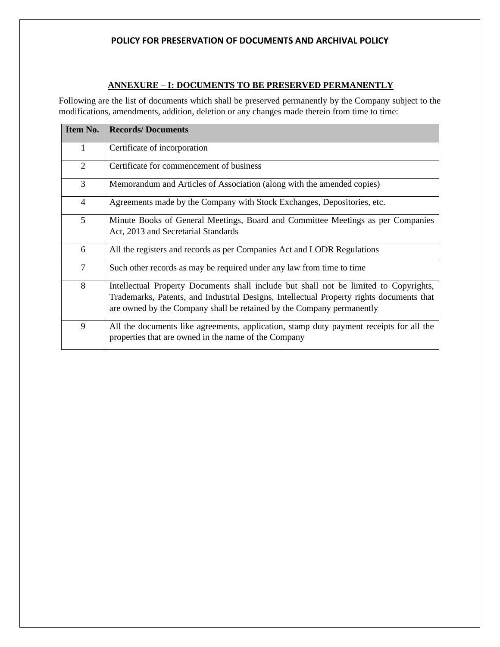# **ANNEXURE – I: DOCUMENTS TO BE PRESERVED PERMANENTLY**

Following are the list of documents which shall be preserved permanently by the Company subject to the modifications, amendments, addition, deletion or any changes made therein from time to time:

| Item No.       | <b>Records/Documents</b>                                                                                                                                                                                                                                   |  |  |  |
|----------------|------------------------------------------------------------------------------------------------------------------------------------------------------------------------------------------------------------------------------------------------------------|--|--|--|
| $\mathbf{1}$   | Certificate of incorporation                                                                                                                                                                                                                               |  |  |  |
| $\overline{2}$ | Certificate for commencement of business                                                                                                                                                                                                                   |  |  |  |
| 3              | Memorandum and Articles of Association (along with the amended copies)                                                                                                                                                                                     |  |  |  |
| $\overline{4}$ | Agreements made by the Company with Stock Exchanges, Depositories, etc.                                                                                                                                                                                    |  |  |  |
| 5              | Minute Books of General Meetings, Board and Committee Meetings as per Companies<br>Act, 2013 and Secretarial Standards                                                                                                                                     |  |  |  |
| 6              | All the registers and records as per Companies Act and LODR Regulations                                                                                                                                                                                    |  |  |  |
| $\overline{7}$ | Such other records as may be required under any law from time to time                                                                                                                                                                                      |  |  |  |
| 8              | Intellectual Property Documents shall include but shall not be limited to Copyrights,<br>Trademarks, Patents, and Industrial Designs, Intellectual Property rights documents that<br>are owned by the Company shall be retained by the Company permanently |  |  |  |
| 9              | All the documents like agreements, application, stamp duty payment receipts for all the<br>properties that are owned in the name of the Company                                                                                                            |  |  |  |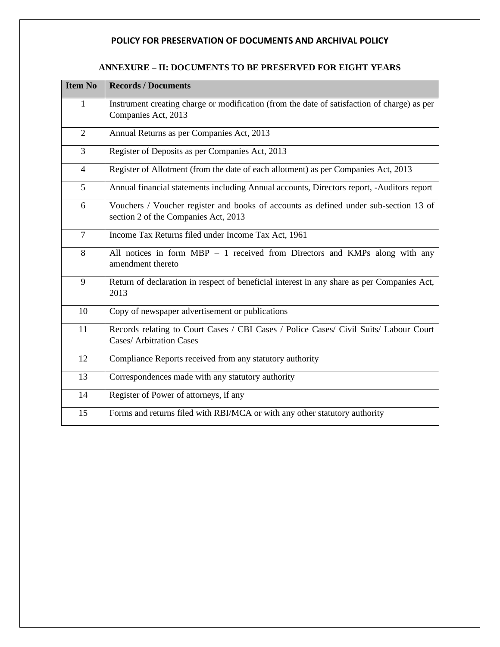# **ANNEXURE – II: DOCUMENTS TO BE PRESERVED FOR EIGHT YEARS**

| <b>Item No</b> | <b>Records / Documents</b>                                                                                                   |  |  |  |
|----------------|------------------------------------------------------------------------------------------------------------------------------|--|--|--|
| 1              | Instrument creating charge or modification (from the date of satisfaction of charge) as per<br>Companies Act, 2013           |  |  |  |
| $\overline{2}$ | Annual Returns as per Companies Act, 2013                                                                                    |  |  |  |
| 3              | Register of Deposits as per Companies Act, 2013                                                                              |  |  |  |
| $\overline{4}$ | Register of Allotment (from the date of each allotment) as per Companies Act, 2013                                           |  |  |  |
| 5              | Annual financial statements including Annual accounts, Directors report, -Auditors report                                    |  |  |  |
| 6              | Vouchers / Voucher register and books of accounts as defined under sub-section 13 of<br>section 2 of the Companies Act, 2013 |  |  |  |
| $\overline{7}$ | Income Tax Returns filed under Income Tax Act, 1961                                                                          |  |  |  |
| 8              | All notices in form MBP - 1 received from Directors and KMPs along with any<br>amendment thereto                             |  |  |  |
| 9              | Return of declaration in respect of beneficial interest in any share as per Companies Act,<br>2013                           |  |  |  |
| 10             | Copy of newspaper advertisement or publications                                                                              |  |  |  |
| 11             | Records relating to Court Cases / CBI Cases / Police Cases/ Civil Suits/ Labour Court<br><b>Cases/ Arbitration Cases</b>     |  |  |  |
| 12             | Compliance Reports received from any statutory authority                                                                     |  |  |  |
| 13             | Correspondences made with any statutory authority                                                                            |  |  |  |
| 14             | Register of Power of attorneys, if any                                                                                       |  |  |  |
| 15             | Forms and returns filed with RBI/MCA or with any other statutory authority                                                   |  |  |  |